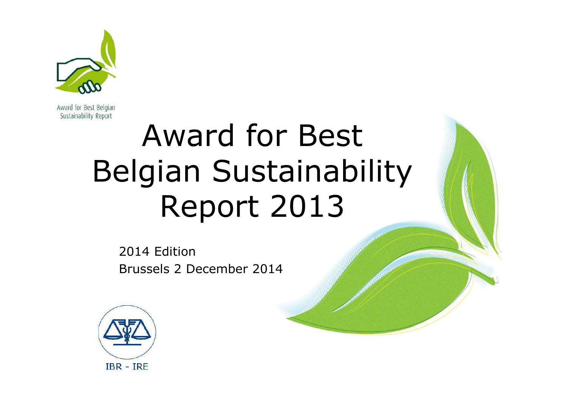

## Award for Best Belgian Sustainability Report 2013

2014 EditionBrussels 2 December 2014

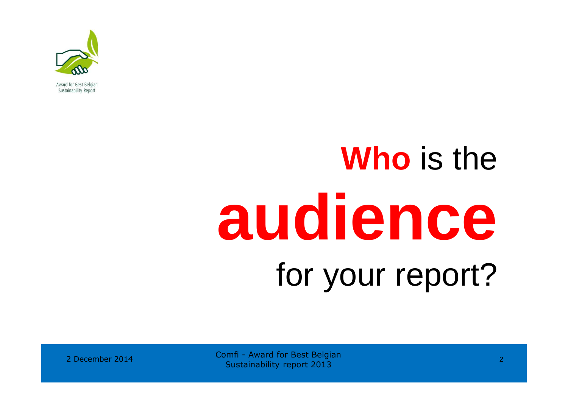

# **Who** is the **audience**for your report?

 Comfi - Award for Best Belgian Sustainability report 20133<br>3

2 December 2014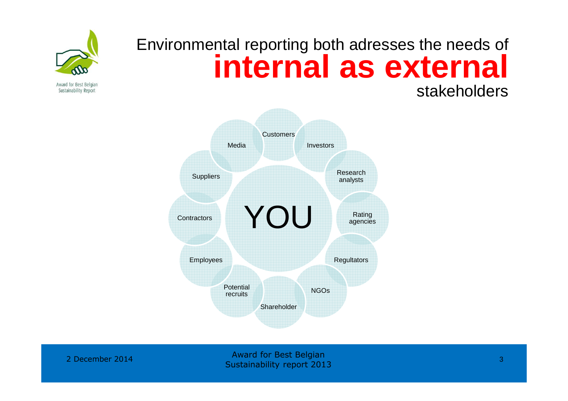

Sustainability Report

#### Environmental reporting both adresses the needs of **internal as external** stakeholders



2 December 2014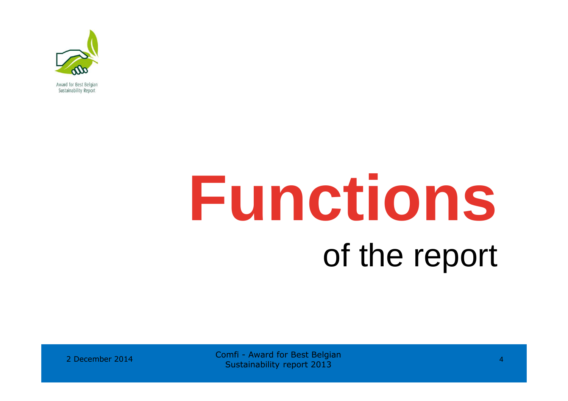

# **Functions**of the report

2 December 2014

 Comfi - Award for Best Belgian Sustainability report 2013 $\frac{1}{3}$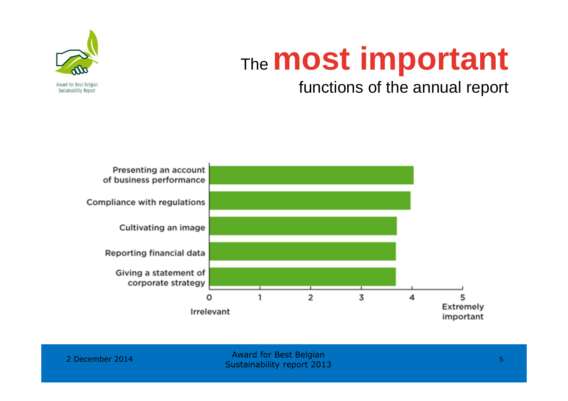

## The **most important**

#### functions of the annual report

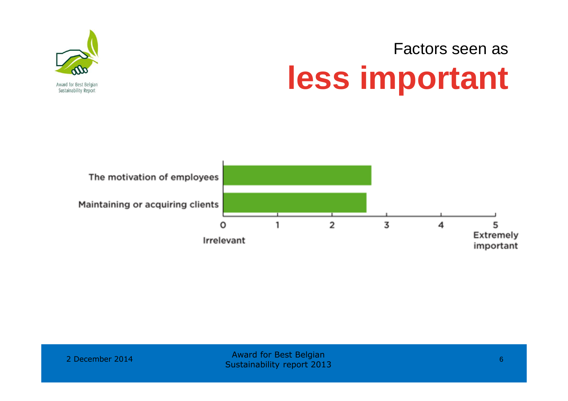

## Factors seen as **less important**

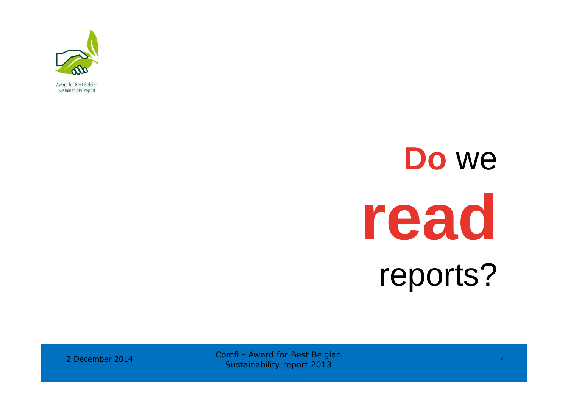

## **Do** we**read**reports?

2 December 2014

 Comfi - Award for Best Belgian Sustainability report 20133<br>3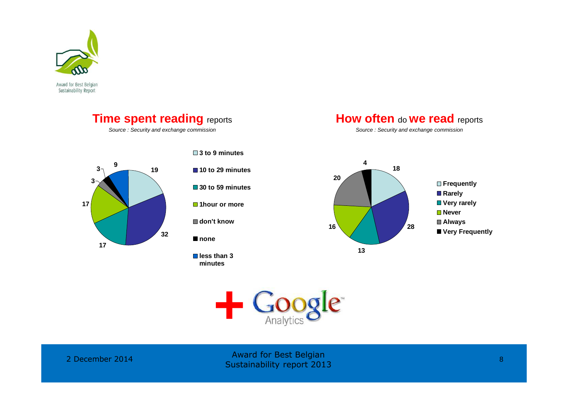

#### **Time spent reading** reports

Source : Security and exchange commission

#### **How often** do **we read** reports

Source : Security and exchange commission







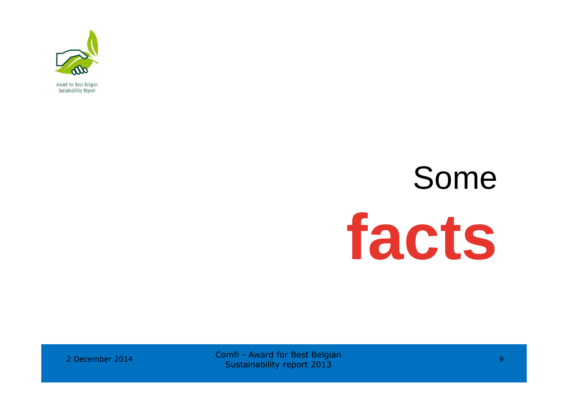

## Some**facts**

2 December 2014

 Comfi - Award for Best Belgian Sustainability report 20139<br>3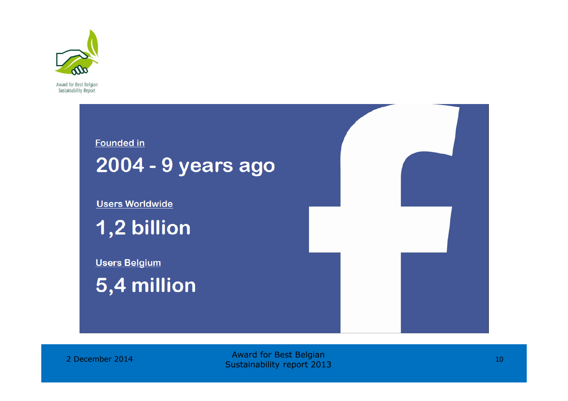

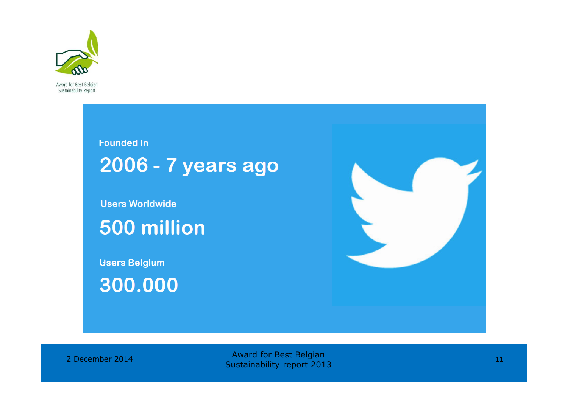

**Founded in** 2006 - 7 years ago

**Users Worldwide** 500 million

**Users Belgium** 300.000



2 December 2014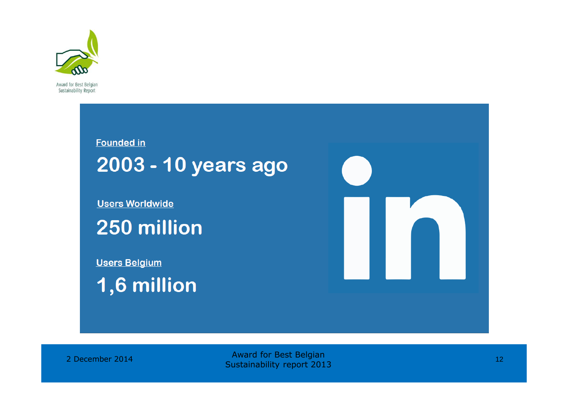

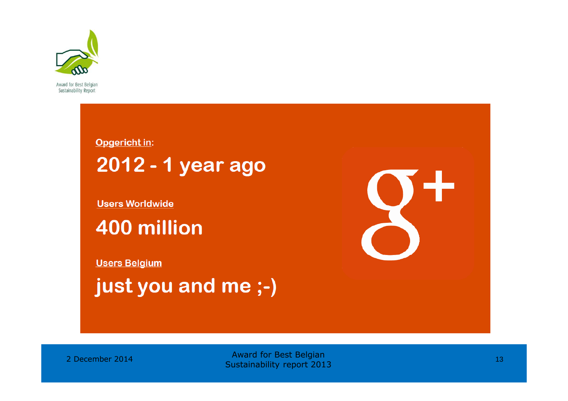

> **Opgericht in:** 2012 - 1 year ago ┶ **Users Worldwide** 400 million **Users Belgium** just you and me ;-)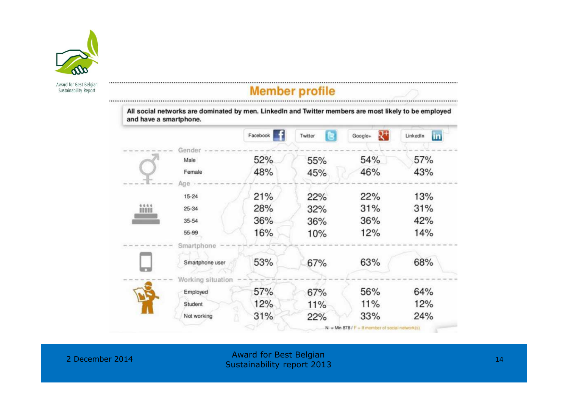

#### **Member profile**

|       |                               | Facebook | Twitter<br>1e | Q+<br>Google+ | in<br>LinkedIn |
|-------|-------------------------------|----------|---------------|---------------|----------------|
|       | Gender<br>Male                | 52%      | 55%           | 54%           | 57%            |
|       | Female<br>Age                 | 48%      | 45%           | 46%           | 43%            |
|       | $15 - 24$                     | 21%      | 22%           | 22%           | 13%            |
| iiiii | $25 - 34$                     | 28%      | 32%           | 31%           | 31%            |
|       | $35 - 54$                     | 36%      | 36%           | 36%           | 42%            |
|       | 55-99<br>Smartphone           | 16%      | 10%           | 12%           | 14%            |
|       | Smartphone user               | 53%      | 67%           | 63%           | 68%            |
|       | Working situation<br>Employed | 57%      | 67%           | 56%           | 64%            |
|       | Student                       | 12%      | 11%           | 11%           | 12%            |
|       | Not working                   | 31%      | 22%           | 33%           | 24%            |

2 December 2014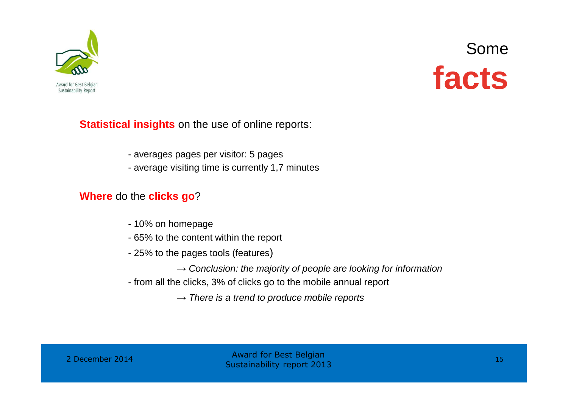



#### **Statistical insights** on the use of online reports:

- averages pages per visitor: 5 pages
- average visiting time is currently 1,7 minutes

#### **Where** do the **clicks go**?

- 10% on homepage
- 65% to the content within the report
- 25% to the pages tools (features)
	- *<sup>→</sup>* Conclusion: the majority of people are looking for information
- from all the clicks, 3% of clicks go to the mobile annual report
	- *<sup>→</sup>* There is a trend to produce mobile reports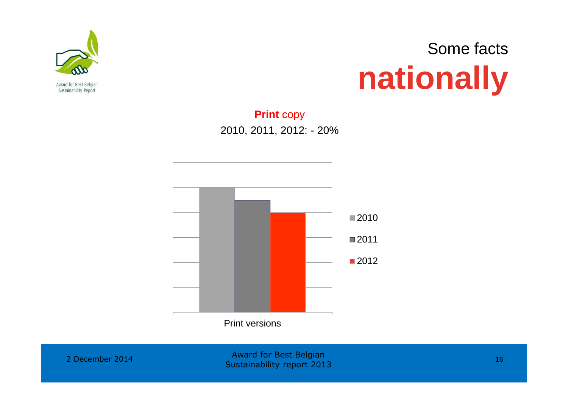

**Print** copy2010, 2011, 2012: - 20%

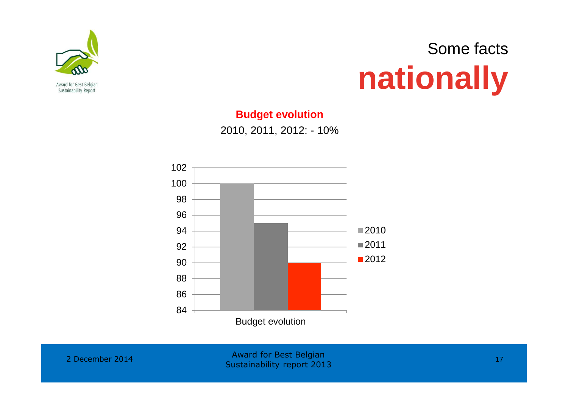

#### **Budget evolution**

2010, 2011, 2012: - 10%

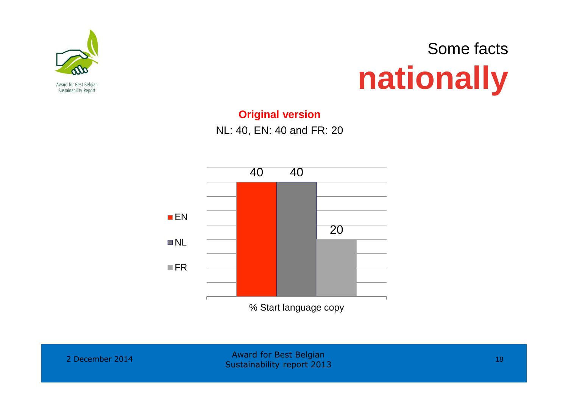

#### **Original version**NL: 40, EN: 40 and FR: 20

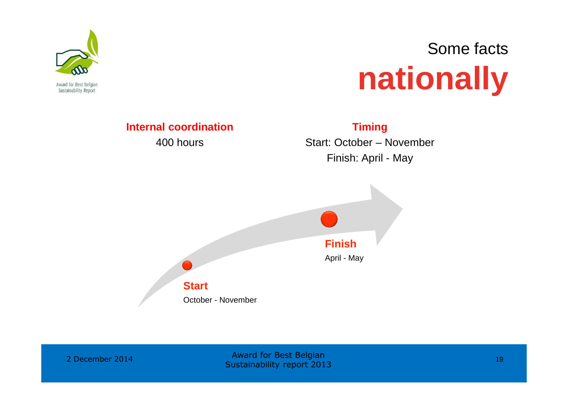

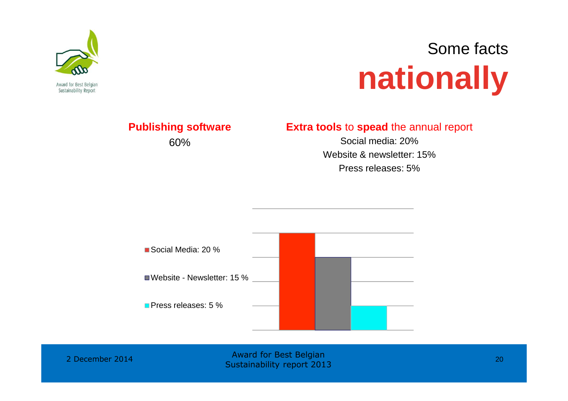

### Some facts **nationally**

#### **Publishing software**60%

#### **Extra tools** to **spead** the annual report

Social media: 20% Website & newsletter: 15%Press releases: 5%

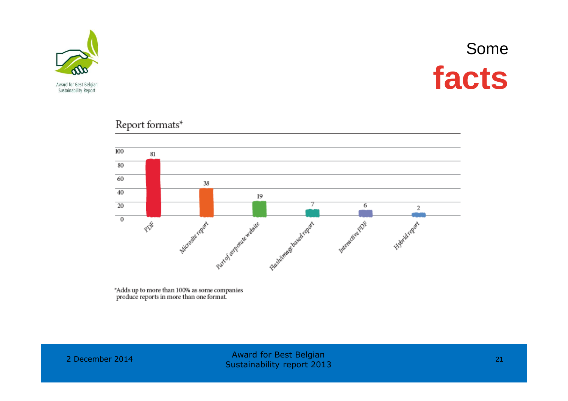

### Some**facts**

#### Report formats\*



\*Adds up to more than 100% as some companies<br>produce reports in more than one format.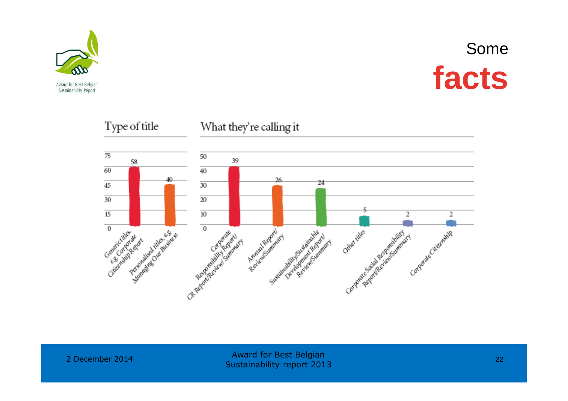

### Some**facts**

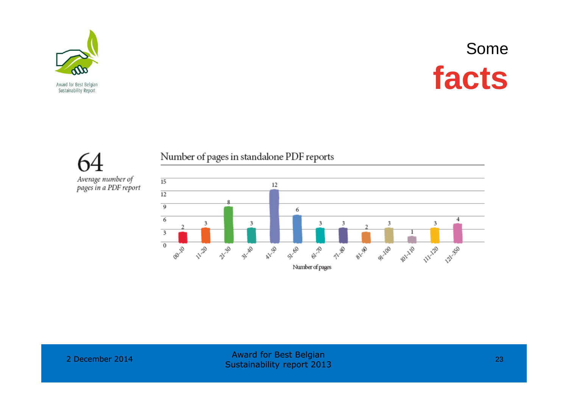

### Some**facts**



#### Number of pages in standalone PDF reports

pages in a PDF report

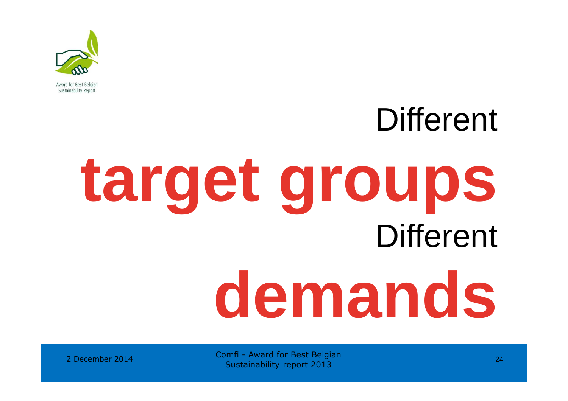

# Different**target groups Different demands**

 Comfi - Award for Best Belgian Sustainability report 2013<sup>24</sup>

2 December 2014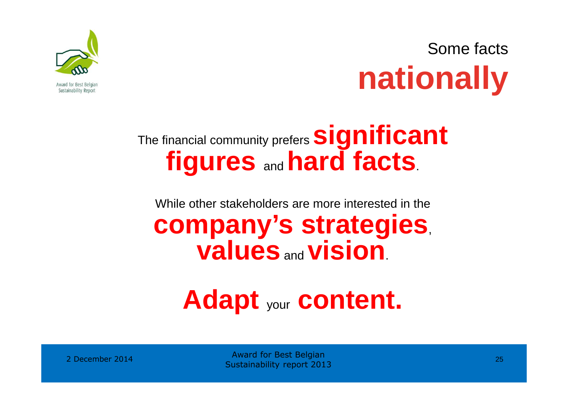

### The financial community prefers **significant** figures and **hard** facts.

While other stakeholders are more interested in the

### **company's strategies**, **values**and **vision**.

### **Adapt** your **content.**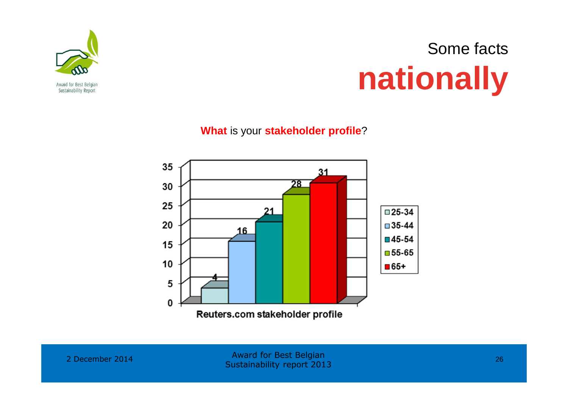





2 December 2014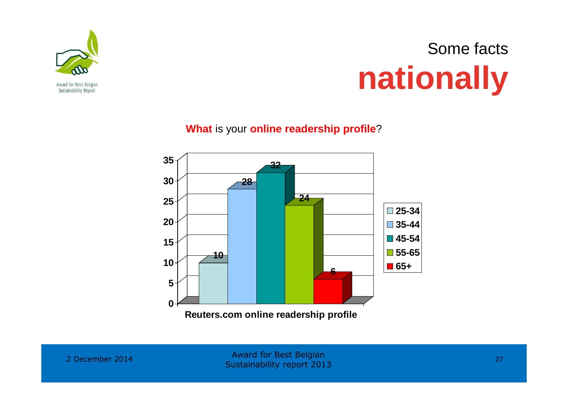

#### **What** is your **online readership profile**?

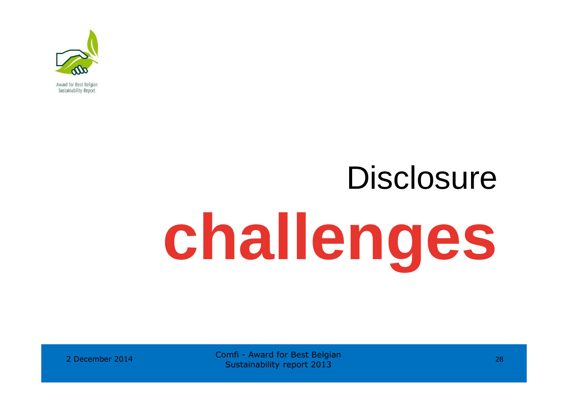

# **Disclosure challenges**

2 December 2014

 Comfi - Award for Best Belgian Sustainability report 2013<sup>28</sup>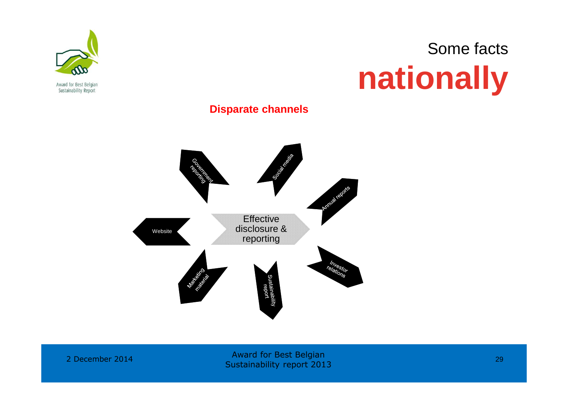

#### **Disparate channels**

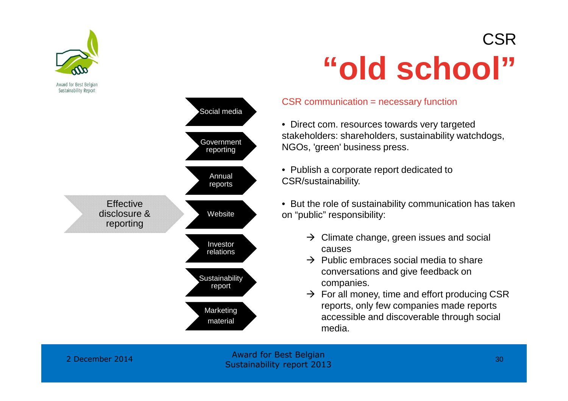



### **CSR "old school"**

#### CSR communication = necessary function

• Direct com. resources towards very targeted stakeholders: shareholders, sustainability watchdogs, NGOs, 'green' business press.

• Publish a corporate report dedicated to CSR/sustainability.

• But the role of sustainability communication has taken on "public" responsibility:

- $\rightarrow$  Climate change, green issues and social<br>Causes causes
- $\rightarrow$  Public embraces social media to share<br>conversations and give feedback on conversations and give feedback on companies.
- $\rightarrow$  For all money, time and effort producing CSR<br>reports, only few companies made reports reports, only few companies made reports accessible and discoverable through social media.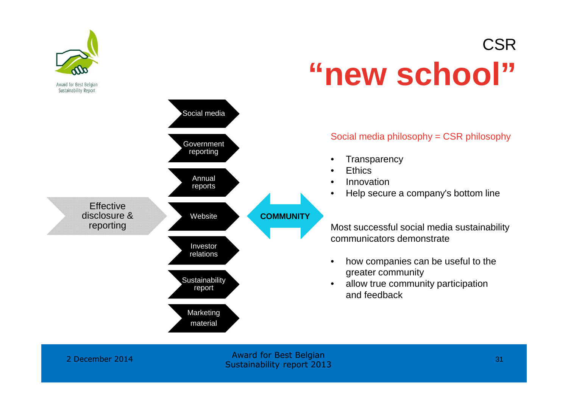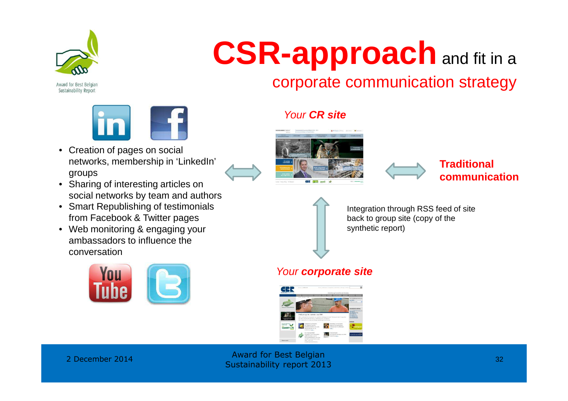

## **CSR-approach**and fit in a

#### Award for Best Belgian Sustainability Report



- Creation of pages on social networks, membership in 'LinkedIn' groups
- Sharing of interesting articles on social networks by team and authors
- Smart Republishing of testimonialsfrom Facebook & Twitter pages
- Web monitoring & engaging yourambassadors to influence the conversation







corporate communication strategy

**Traditionalcommunication**

Integration through RSS feed of site back to group site (copy of the synthetic report)

#### Your **corporate site**

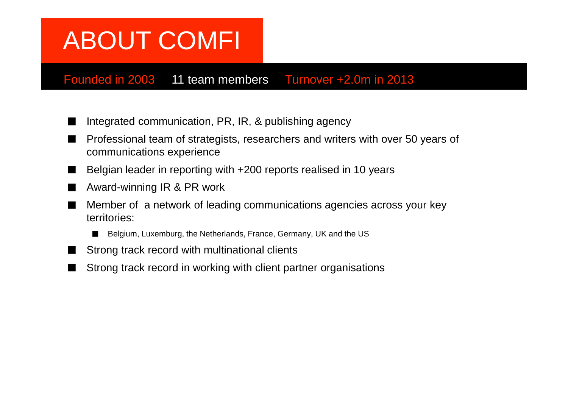### ABOUT COMFI

Founded in 2003 11 team members Turnover +2.0m in 2013

- Integrated communication, PR, IR, & publishing agency
- Professional team of strategists, researchers and writers with over 50 years of communications experience
- Belgian leader in reporting with +200 reports realised in 10 years
- Award-winning IR & PR work
- Member of a network of leading communications agencies across your key territories:
	- Belgium, Luxemburg, the Netherlands, France, Germany, UK and the USп
- Strong track record with multinational clients
- Strong track record in working with client partner organisations